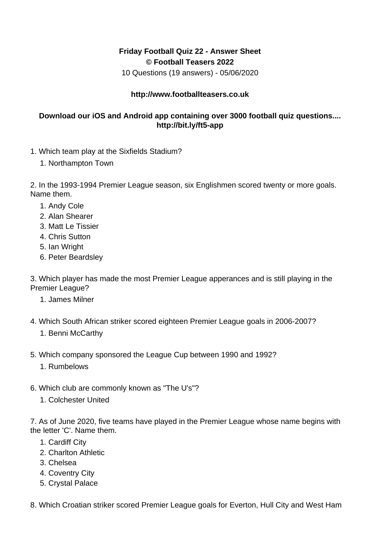## **Friday Football Quiz 22 - Answer Sheet © Football Teasers 2022**

10 Questions (19 answers) - 05/06/2020

## **http://www.footballteasers.co.uk**

## **Download our iOS and Android app containing over 3000 football quiz questions.... http://bit.ly/ft5-app**

- 1. Which team play at the Sixfields Stadium?
	- 1. Northampton Town

2. In the 1993-1994 Premier League season, six Englishmen scored twenty or more goals. Name them.

- 1. Andy Cole
- 2. Alan Shearer
- 3. Matt Le Tissier
- 4. Chris Sutton
- 5. Ian Wright
- 6. Peter Beardsley

3. Which player has made the most Premier League apperances and is still playing in the Premier League?

- 1. James Milner
- 4. Which South African striker scored eighteen Premier League goals in 2006-2007?
	- 1. Benni McCarthy
- 5. Which company sponsored the League Cup between 1990 and 1992?
	- 1. Rumbelows
- 6. Which club are commonly known as "The U's"?
	- 1. Colchester United

7. As of June 2020, five teams have played in the Premier League whose name begins with the letter 'C'. Name them.

- 1. Cardiff City
- 2. Charlton Athletic
- 3. Chelsea
- 4. Coventry City
- 5. Crystal Palace

8. Which Croatian striker scored Premier League goals for Everton, Hull City and West Ham